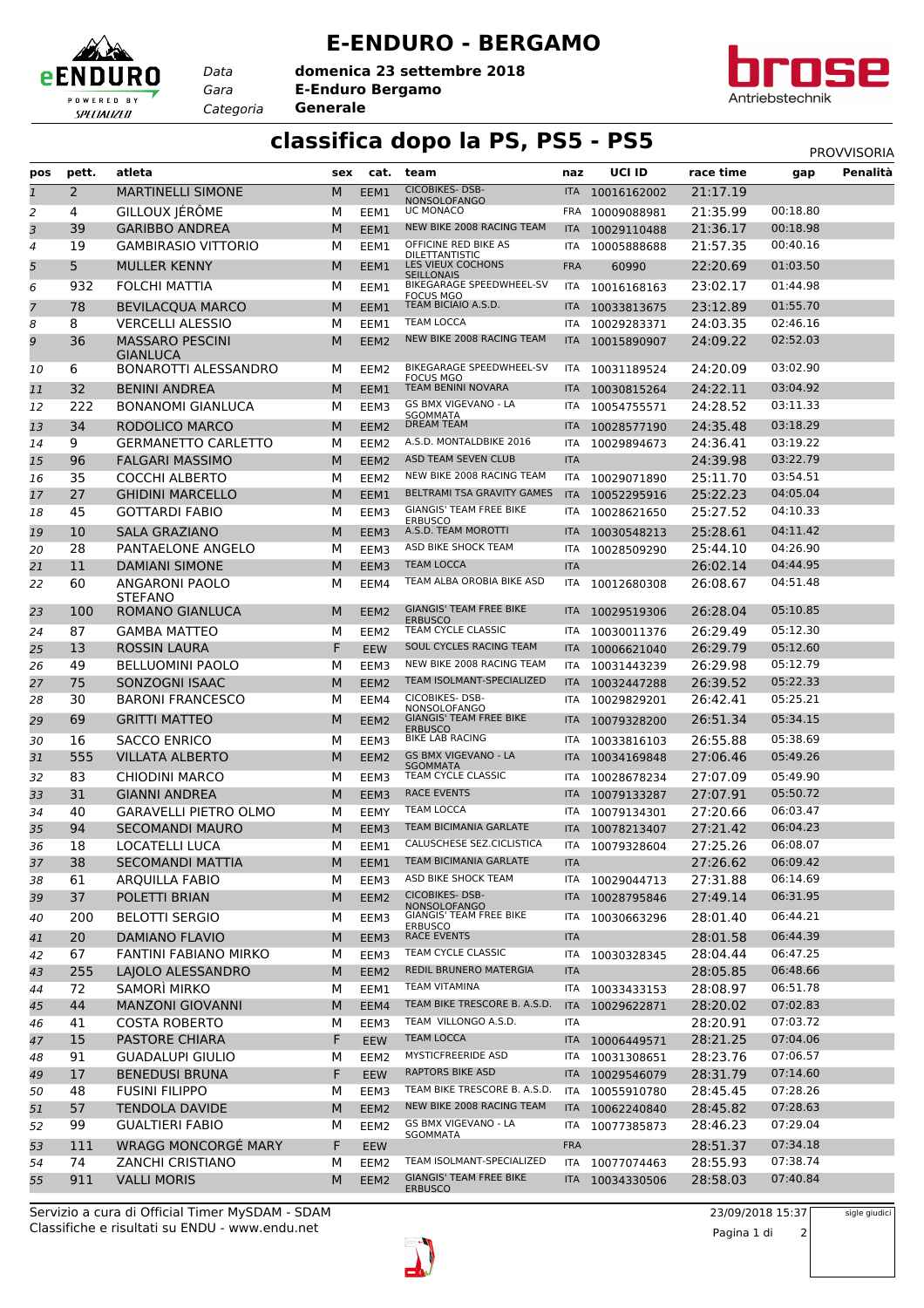## **E-ENDURO - BERGAMO**

*Gara* **E-Enduro Bergamo** *Categoria* **Generale domenica 23 settembre 2018**

*Data*

eENDI

POWERED BY SPECIALIZED

RO



## **classifica dopo la PS, PS5 - PS5** PS5 PROVVISORIA

| <b>CICOBIKES-DSB-</b><br>$\mathbf{1}$<br>2<br><b>MARTINELLI SIMONE</b><br>21:17.19<br>M<br>EEM1<br>10016162002<br>ITA I<br><b>NONSOLOFANGO</b><br>GILLOUX JÉRÔME<br>21:35.99<br>00:18.80<br>UC MONACO<br>10009088981<br>2<br>4<br>м<br>EEM1<br><b>FRA</b><br>3<br>NEW BIKE 2008 RACING TEAM<br>39<br><b>GARIBBO ANDREA</b><br>M<br>21:36.17<br>00:18.98<br>EEM1<br>10029110488<br><b>ITA</b><br>OFFICINE RED BIKE AS<br>00:40.16<br><b>GAMBIRASIO VITTORIO</b><br>19<br>м<br>EEM1<br>ITA<br>10005888688<br>21:57.35<br>4<br><b>DILETTANTISTIC</b><br>LES VIEUX COCHONS<br>5<br>5<br><b>MULLER KENNY</b><br>01:03.50<br>M<br>EEM1<br><b>FRA</b><br>60990<br>22:20.69<br><b>SEILLONAIS</b><br>BIKEGARAGE SPEEDWHEEL-SV<br>01:44.98<br>932<br>FOLCHI MATTIA<br>м<br>23:02.17<br>6<br>EEM1<br>10016168163<br>ITA<br><b>FOCUS MGO</b><br>01:55.70<br>TEAM BICIAIO A.S.D.<br>78<br><b>BEVILACQUA MARCO</b><br>M<br>23:12.89<br>7<br>EEM1<br><b>ITA</b><br>10033813675<br><b>TEAM LOCCA</b><br>02:46.16<br>8<br><b>VERCELLI ALESSIO</b><br>м<br>24:03.35<br>8<br>EEM1<br>10029283371<br>ITA<br>NEW BIKE 2008 RACING TEAM<br>9<br>36<br><b>MASSARO PESCINI</b><br>24:09.22<br>02:52.03<br>м<br>EEM2<br><b>ITA</b><br>10015890907<br><b>GIANLUCA</b><br>BIKEGARAGE SPEEDWHEEL-SV<br>03:02.90<br>6<br>BONAROTTI ALESSANDRO<br>24:20.09<br>м<br>EEM2<br>ITA<br>10<br>10031189524<br><b>FOCUS MGO</b><br>TEAM BENINI NOVARA<br>03:04.92<br>32<br><b>BENINI ANDREA</b><br>M<br>24:22.11<br>EEM1<br>10030815264<br>11<br><b>ITA</b><br>GS BMX VIGEVANO - LA<br>03:11.33<br>222<br><b>BONANOMI GIANLUCA</b><br>м<br>24:28.52<br>12<br>EEM3<br>10054755571<br>ITA<br>SGOMMATA<br>RODOLICO MARCO<br>DREAM TEAM<br>03:18.29<br>34<br>M<br>24:35.48<br>13<br>EEM2<br>10028577190<br><b>ITA</b><br><b>GERMANETTO CARLETTO</b><br>A.S.D. MONTALDBIKE 2016<br>03:19.22<br>9<br>м<br>24:36.41<br>14<br>EEM <sub>2</sub><br>ITA<br>10029894673<br>03:22.79<br>ASD TEAM SEVEN CLUB<br>24:39.98<br>96<br><b>FALGARI MASSIMO</b><br>M<br><b>ITA</b><br>15<br>EEM2<br>NEW BIKE 2008 RACING TEAM<br>03:54.51<br>35<br><b>COCCHI ALBERTO</b><br>м<br>25:11.70<br>EEM <sub>2</sub><br>ITA<br>10029071890<br>16<br>27<br>BELTRAMI TSA GRAVITY GAMES<br>04:05.04<br><b>GHIDINI MARCELLO</b><br>M<br>25:22.23<br>EEM1<br><b>ITA</b><br>10052295916<br>17<br>GIANGIS' TEAM FREE BIKE<br>04:10.33<br>45<br><b>GOTTARDI FABIO</b><br>25:27.52<br>М<br>EEM3<br>ITA<br>10028621650<br>18<br><b>ERBUSCO</b><br>A.S.D. TEAM MOROTTI<br>10<br><b>SALA GRAZIANO</b><br>M<br>25:28.61<br>04:11.42<br>19<br>EEM3<br>ITA<br>10030548213<br>04:26.90<br>28<br>ASD BIKE SHOCK TEAM<br>PANTAELONE ANGELO<br>25:44.10<br>20<br>М<br>EEM3<br>ITA<br>10028509290<br><b>TEAM LOCCA</b><br>04:44.95<br>11<br><b>DAMIANI SIMONE</b><br>M<br>26:02.14<br>21<br>EEM3<br><b>ITA</b><br>TEAM ALBA OROBIA BIKE ASD<br>ANGARONI PAOLO<br>26:08.67<br>04:51.48<br>60<br>м<br>22<br>EEM4<br>ITA<br>10012680308<br>STEFANO<br><b>GIANGIS' TEAM FREE BIKE</b><br>100<br><b>ROMANO GIANLUCA</b><br>05:10.85<br>M<br>26:28.04<br>EEM2<br>23<br><b>ITA</b><br>10029519306<br><b>ERBUSCO</b><br>87<br><b>GAMBA MATTEO</b><br>TEAM CYCLE CLASSIC<br>26:29.49<br>05:12.30<br>м<br>EEM <sub>2</sub><br><b>ITA</b><br>10030011376<br>24<br>05:12.60<br>13<br>ROSSIN LAURA<br>F<br>SOUL CYCLES RACING TEAM<br>26:29.79<br><b>EEW</b><br>10006621040<br>25<br>ITA<br>NEW BIKE 2008 RACING TEAM<br>05:12.79<br>49<br><b>BELLUOMINI PAOLO</b><br>м<br>26:29.98<br>26<br>EEM3<br><b>ITA</b><br>10031443239<br>TEAM ISOLMANT-SPECIALIZED<br>05:22.33<br>75<br>SONZOGNI ISAAC<br>M<br>26:39.52<br>27<br>EEM <sub>2</sub><br><b>ITA</b><br>10032447288<br>CICOBIKES-DSB-<br>05:25.21<br>30<br><b>BARONI FRANCESCO</b><br>26:42.41<br>м<br>28<br>EEM4<br>ITA<br>10029829201<br>NONSOLOFANGO<br><b>GIANGIS' TEAM FREE BIKE</b><br>69<br><b>GRITTI MATTEO</b><br>M<br>05:34.15<br>29<br>10079328200<br>26:51.34<br>EEM <sub>2</sub><br><b>ITA</b><br><b>ERBUSCO</b><br><b>BIKE LAB RACING</b><br>05:38.69<br>16<br><b>SACCO ENRICO</b><br>26:55.88<br>М<br>EEM3<br>10033816103<br>30<br>ITA<br><b>GS BMX VIGEVANO - LA</b><br>555<br><b>VILLATA ALBERTO</b><br>M<br>27:06.46<br>05:49.26<br>EEM <sub>2</sub><br>10034169848<br>31<br><b>ITA</b><br><b>SGOMMATA</b><br>05:49.90<br>83<br>TEAM CYCLE CLASSIC<br><b>CHIODINI MARCO</b><br>м<br>27:07.09<br>EEM3<br>10028678234<br>32<br>ITA<br><b>RACE EVENTS</b><br>05:50.72<br>31<br><b>GIANNI ANDREA</b><br>M<br>27:07.91<br>33<br>EEM3<br>10079133287<br><b>ITA</b><br>06:03.47<br><b>TEAM LOCCA</b><br>40<br><b>GARAVELLI PIETRO OLMO</b><br>м<br>27:20.66<br>ITA<br>10079134301<br>34<br>EEMY<br>TEAM BICIMANIA GARLATE<br>06:04.23<br>94<br><b>SECOMANDI MAURO</b><br>27:21.42<br>M<br>EEM3<br>10078213407<br>35<br><b>ITA</b><br>CALUSCHESE SEZ.CICLISTICA<br>18<br>LOCATELLI LUCA<br>м<br>27:25.26<br>06:08.07<br>36<br>EEM1<br>10079328604<br>ITA<br><b>SECOMANDI MATTIA</b><br>TEAM BICIMANIA GARLATE<br><b>ITA</b><br>27:26.62<br>06:09.42<br>37<br>38<br>M<br>EEM1<br>ASD BIKE SHOCK TEAM<br>06:14.69<br>27:31.88<br>61<br>ARQUILLA FABIO<br>м<br>EEM3<br>38<br>ITA<br>10029044713<br>CICOBIKES-DSB-<br>37<br>POLETTI BRIAN<br>M<br>27:49.14<br>06:31.95<br>39<br>EEM2<br>10028795846<br><b>ITA</b><br>NONSOLOFANGO<br><b>GIANGIS' TEAM FREE BIKE</b><br>06:44.21<br>200<br><b>BELOTTI SERGIO</b><br>28:01.40<br>М<br>EEM3<br>10030663296<br>40<br>ITA<br><b>ERBUSCO</b><br><b>RACE EVENTS</b><br>06:44.39<br>20<br><b>DAMIANO FLAVIO</b><br>M<br><b>ITA</b><br>28:01.58<br>EEM3<br>41<br>TEAM CYCLE CLASSIC<br>06:47.25<br>67<br><b>FANTINI FABIANO MIRKO</b><br>28:04.44<br>М<br>EEM3<br>ITA<br>10030328345<br>42<br>REDIL BRUNERO MATERGIA<br>255<br>LAJOLO ALESSANDRO<br>M<br>28:05.85<br>06:48.66<br>43<br>EEM2<br><b>ITA</b><br><b>TEAM VITAMINA</b><br>06:51.78<br>SAMORÌ MIRKO<br>72<br>28:08.97<br>М<br>EEM1<br>10033433153<br>44<br>ITA<br>TEAM BIKE TRESCORE B. A.S.D.<br>44<br>07:02.83<br><b>MANZONI GIOVANNI</b><br>45<br>M<br>EEM4<br>10029622871<br>28:20.02<br><b>ITA</b><br>TEAM VILLONGO A.S.D.<br>07:03.72<br><b>COSTA ROBERTO</b><br>28:20.91<br>41<br>М<br><b>ITA</b><br>EEM3<br>46<br><b>TEAM LOCCA</b><br>F<br>07:04.06<br>15<br>PASTORE CHIARA<br>EEW<br>28:21.25<br>ITA 10006449571<br>47<br>MYSTICFREERIDE ASD<br>07:06.57<br>91<br><b>GUADALUPI GIULIO</b><br>28:23.76<br>М<br>EEM2<br>ITA 10031308651<br>48<br><b>RAPTORS BIKE ASD</b><br>17<br><b>BENEDUSI BRUNA</b><br>F<br>28:31.79<br>07:14.60<br>EEW<br>ITA 10029546079<br>49<br>TEAM BIKE TRESCORE B. A.S.D.<br>07:28.26<br>48<br>FUSINI FILIPPO<br>28:45.45<br>М<br>EEM3<br>ITA<br>10055910780<br>50<br>NEW BIKE 2008 RACING TEAM<br>07:28.63<br>57<br><b>TENDOLA DAVIDE</b><br>M<br>28:45.82<br>51<br>EEM2<br>ITA 10062240840<br>GS BMX VIGEVANO - LA<br>07:29.04<br>99<br><b>GUALTIERI FABIO</b><br>М<br>28:46.23<br>EEM2<br>ITA<br>10077385873<br>52<br>SGOMMATA<br><b>WRAGG MONCORGÉ MARY</b><br>F<br>07:34.18<br>111<br>28:51.37<br>53<br><b>EEW</b><br><b>FRA</b><br>TEAM ISOLMANT-SPECIALIZED<br>07:38.74<br>74<br>ZANCHI CRISTIANO<br>М<br>28:55.93<br>ITA<br>10077074463<br>54<br>EEM <sub>2</sub><br><b>GIANGIS' TEAM FREE BIKE</b><br>07:40.84<br>911<br><b>VALLI MORIS</b><br>М<br>28:58.03<br>55<br>EEM2<br>ITA 10034330506<br><b>ERBUSCO</b> | pos | pett. | atleta | sex | cat. | team | naz | UCI ID | race time | gap | Penalità |
|----------------------------------------------------------------------------------------------------------------------------------------------------------------------------------------------------------------------------------------------------------------------------------------------------------------------------------------------------------------------------------------------------------------------------------------------------------------------------------------------------------------------------------------------------------------------------------------------------------------------------------------------------------------------------------------------------------------------------------------------------------------------------------------------------------------------------------------------------------------------------------------------------------------------------------------------------------------------------------------------------------------------------------------------------------------------------------------------------------------------------------------------------------------------------------------------------------------------------------------------------------------------------------------------------------------------------------------------------------------------------------------------------------------------------------------------------------------------------------------------------------------------------------------------------------------------------------------------------------------------------------------------------------------------------------------------------------------------------------------------------------------------------------------------------------------------------------------------------------------------------------------------------------------------------------------------------------------------------------------------------------------------------------------------------------------------------------------------------------------------------------------------------------------------------------------------------------------------------------------------------------------------------------------------------------------------------------------------------------------------------------------------------------------------------------------------------------------------------------------------------------------------------------------------------------------------------------------------------------------------------------------------------------------------------------------------------------------------------------------------------------------------------------------------------------------------------------------------------------------------------------------------------------------------------------------------------------------------------------------------------------------------------------------------------------------------------------------------------------------------------------------------------------------------------------------------------------------------------------------------------------------------------------------------------------------------------------------------------------------------------------------------------------------------------------------------------------------------------------------------------------------------------------------------------------------------------------------------------------------------------------------------------------------------------------------------------------------------------------------------------------------------------------------------------------------------------------------------------------------------------------------------------------------------------------------------------------------------------------------------------------------------------------------------------------------------------------------------------------------------------------------------------------------------------------------------------------------------------------------------------------------------------------------------------------------------------------------------------------------------------------------------------------------------------------------------------------------------------------------------------------------------------------------------------------------------------------------------------------------------------------------------------------------------------------------------------------------------------------------------------------------------------------------------------------------------------------------------------------------------------------------------------------------------------------------------------------------------------------------------------------------------------------------------------------------------------------------------------------------------------------------------------------------------------------------------------------------------------------------------------------------------------------------------------------------------------------------------------------------------------------------------------------------------------------------------------------------------------------------------------------------------------------------------------------------------------------------------------------------------------------------------------------------------------------------------------------------------------------------------------------------------------------------------------------------------------------------------------------------------------------------------------------------------------------------------------------------------------------------------------------------------------------------------------------------------------------------------------------------------------------------------------------------------------------------------------------------------------------------------------------------------------------------------------------------------------------------------------------------------------------------------------------------------------------------------------------------------------------------------------------------------------------------------------------------------------------------------------------------------------------------------------------------------------------------------------------------------------------------------------------------------------------------------------------------------------------------------------------------------------------------------------------------------------------------------------------------------------------------------------------------------------------------------------------------------------------------------------------------------------------------------------------------------------------------------------------------------------------------------------------------------------------------------------------------------|-----|-------|--------|-----|------|------|-----|--------|-----------|-----|----------|
|                                                                                                                                                                                                                                                                                                                                                                                                                                                                                                                                                                                                                                                                                                                                                                                                                                                                                                                                                                                                                                                                                                                                                                                                                                                                                                                                                                                                                                                                                                                                                                                                                                                                                                                                                                                                                                                                                                                                                                                                                                                                                                                                                                                                                                                                                                                                                                                                                                                                                                                                                                                                                                                                                                                                                                                                                                                                                                                                                                                                                                                                                                                                                                                                                                                                                                                                                                                                                                                                                                                                                                                                                                                                                                                                                                                                                                                                                                                                                                                                                                                                                                                                                                                                                                                                                                                                                                                                                                                                                                                                                                                                                                                                                                                                                                                                                                                                                                                                                                                                                                                                                                                                                                                                                                                                                                                                                                                                                                                                                                                                                                                                                                                                                                                                                                                                                                                                                                                                                                                                                                                                                                                                                                                                                                                                                                                                                                                                                                                                                                                                                                                                                                                                                                                                                                                                                                                                                                                                                                                                                                                                                                                                                                                                                                                                                                                      |     |       |        |     |      |      |     |        |           |     |          |
|                                                                                                                                                                                                                                                                                                                                                                                                                                                                                                                                                                                                                                                                                                                                                                                                                                                                                                                                                                                                                                                                                                                                                                                                                                                                                                                                                                                                                                                                                                                                                                                                                                                                                                                                                                                                                                                                                                                                                                                                                                                                                                                                                                                                                                                                                                                                                                                                                                                                                                                                                                                                                                                                                                                                                                                                                                                                                                                                                                                                                                                                                                                                                                                                                                                                                                                                                                                                                                                                                                                                                                                                                                                                                                                                                                                                                                                                                                                                                                                                                                                                                                                                                                                                                                                                                                                                                                                                                                                                                                                                                                                                                                                                                                                                                                                                                                                                                                                                                                                                                                                                                                                                                                                                                                                                                                                                                                                                                                                                                                                                                                                                                                                                                                                                                                                                                                                                                                                                                                                                                                                                                                                                                                                                                                                                                                                                                                                                                                                                                                                                                                                                                                                                                                                                                                                                                                                                                                                                                                                                                                                                                                                                                                                                                                                                                                                      |     |       |        |     |      |      |     |        |           |     |          |
|                                                                                                                                                                                                                                                                                                                                                                                                                                                                                                                                                                                                                                                                                                                                                                                                                                                                                                                                                                                                                                                                                                                                                                                                                                                                                                                                                                                                                                                                                                                                                                                                                                                                                                                                                                                                                                                                                                                                                                                                                                                                                                                                                                                                                                                                                                                                                                                                                                                                                                                                                                                                                                                                                                                                                                                                                                                                                                                                                                                                                                                                                                                                                                                                                                                                                                                                                                                                                                                                                                                                                                                                                                                                                                                                                                                                                                                                                                                                                                                                                                                                                                                                                                                                                                                                                                                                                                                                                                                                                                                                                                                                                                                                                                                                                                                                                                                                                                                                                                                                                                                                                                                                                                                                                                                                                                                                                                                                                                                                                                                                                                                                                                                                                                                                                                                                                                                                                                                                                                                                                                                                                                                                                                                                                                                                                                                                                                                                                                                                                                                                                                                                                                                                                                                                                                                                                                                                                                                                                                                                                                                                                                                                                                                                                                                                                                                      |     |       |        |     |      |      |     |        |           |     |          |
|                                                                                                                                                                                                                                                                                                                                                                                                                                                                                                                                                                                                                                                                                                                                                                                                                                                                                                                                                                                                                                                                                                                                                                                                                                                                                                                                                                                                                                                                                                                                                                                                                                                                                                                                                                                                                                                                                                                                                                                                                                                                                                                                                                                                                                                                                                                                                                                                                                                                                                                                                                                                                                                                                                                                                                                                                                                                                                                                                                                                                                                                                                                                                                                                                                                                                                                                                                                                                                                                                                                                                                                                                                                                                                                                                                                                                                                                                                                                                                                                                                                                                                                                                                                                                                                                                                                                                                                                                                                                                                                                                                                                                                                                                                                                                                                                                                                                                                                                                                                                                                                                                                                                                                                                                                                                                                                                                                                                                                                                                                                                                                                                                                                                                                                                                                                                                                                                                                                                                                                                                                                                                                                                                                                                                                                                                                                                                                                                                                                                                                                                                                                                                                                                                                                                                                                                                                                                                                                                                                                                                                                                                                                                                                                                                                                                                                                      |     |       |        |     |      |      |     |        |           |     |          |
|                                                                                                                                                                                                                                                                                                                                                                                                                                                                                                                                                                                                                                                                                                                                                                                                                                                                                                                                                                                                                                                                                                                                                                                                                                                                                                                                                                                                                                                                                                                                                                                                                                                                                                                                                                                                                                                                                                                                                                                                                                                                                                                                                                                                                                                                                                                                                                                                                                                                                                                                                                                                                                                                                                                                                                                                                                                                                                                                                                                                                                                                                                                                                                                                                                                                                                                                                                                                                                                                                                                                                                                                                                                                                                                                                                                                                                                                                                                                                                                                                                                                                                                                                                                                                                                                                                                                                                                                                                                                                                                                                                                                                                                                                                                                                                                                                                                                                                                                                                                                                                                                                                                                                                                                                                                                                                                                                                                                                                                                                                                                                                                                                                                                                                                                                                                                                                                                                                                                                                                                                                                                                                                                                                                                                                                                                                                                                                                                                                                                                                                                                                                                                                                                                                                                                                                                                                                                                                                                                                                                                                                                                                                                                                                                                                                                                                                      |     |       |        |     |      |      |     |        |           |     |          |
|                                                                                                                                                                                                                                                                                                                                                                                                                                                                                                                                                                                                                                                                                                                                                                                                                                                                                                                                                                                                                                                                                                                                                                                                                                                                                                                                                                                                                                                                                                                                                                                                                                                                                                                                                                                                                                                                                                                                                                                                                                                                                                                                                                                                                                                                                                                                                                                                                                                                                                                                                                                                                                                                                                                                                                                                                                                                                                                                                                                                                                                                                                                                                                                                                                                                                                                                                                                                                                                                                                                                                                                                                                                                                                                                                                                                                                                                                                                                                                                                                                                                                                                                                                                                                                                                                                                                                                                                                                                                                                                                                                                                                                                                                                                                                                                                                                                                                                                                                                                                                                                                                                                                                                                                                                                                                                                                                                                                                                                                                                                                                                                                                                                                                                                                                                                                                                                                                                                                                                                                                                                                                                                                                                                                                                                                                                                                                                                                                                                                                                                                                                                                                                                                                                                                                                                                                                                                                                                                                                                                                                                                                                                                                                                                                                                                                                                      |     |       |        |     |      |      |     |        |           |     |          |
|                                                                                                                                                                                                                                                                                                                                                                                                                                                                                                                                                                                                                                                                                                                                                                                                                                                                                                                                                                                                                                                                                                                                                                                                                                                                                                                                                                                                                                                                                                                                                                                                                                                                                                                                                                                                                                                                                                                                                                                                                                                                                                                                                                                                                                                                                                                                                                                                                                                                                                                                                                                                                                                                                                                                                                                                                                                                                                                                                                                                                                                                                                                                                                                                                                                                                                                                                                                                                                                                                                                                                                                                                                                                                                                                                                                                                                                                                                                                                                                                                                                                                                                                                                                                                                                                                                                                                                                                                                                                                                                                                                                                                                                                                                                                                                                                                                                                                                                                                                                                                                                                                                                                                                                                                                                                                                                                                                                                                                                                                                                                                                                                                                                                                                                                                                                                                                                                                                                                                                                                                                                                                                                                                                                                                                                                                                                                                                                                                                                                                                                                                                                                                                                                                                                                                                                                                                                                                                                                                                                                                                                                                                                                                                                                                                                                                                                      |     |       |        |     |      |      |     |        |           |     |          |
|                                                                                                                                                                                                                                                                                                                                                                                                                                                                                                                                                                                                                                                                                                                                                                                                                                                                                                                                                                                                                                                                                                                                                                                                                                                                                                                                                                                                                                                                                                                                                                                                                                                                                                                                                                                                                                                                                                                                                                                                                                                                                                                                                                                                                                                                                                                                                                                                                                                                                                                                                                                                                                                                                                                                                                                                                                                                                                                                                                                                                                                                                                                                                                                                                                                                                                                                                                                                                                                                                                                                                                                                                                                                                                                                                                                                                                                                                                                                                                                                                                                                                                                                                                                                                                                                                                                                                                                                                                                                                                                                                                                                                                                                                                                                                                                                                                                                                                                                                                                                                                                                                                                                                                                                                                                                                                                                                                                                                                                                                                                                                                                                                                                                                                                                                                                                                                                                                                                                                                                                                                                                                                                                                                                                                                                                                                                                                                                                                                                                                                                                                                                                                                                                                                                                                                                                                                                                                                                                                                                                                                                                                                                                                                                                                                                                                                                      |     |       |        |     |      |      |     |        |           |     |          |
|                                                                                                                                                                                                                                                                                                                                                                                                                                                                                                                                                                                                                                                                                                                                                                                                                                                                                                                                                                                                                                                                                                                                                                                                                                                                                                                                                                                                                                                                                                                                                                                                                                                                                                                                                                                                                                                                                                                                                                                                                                                                                                                                                                                                                                                                                                                                                                                                                                                                                                                                                                                                                                                                                                                                                                                                                                                                                                                                                                                                                                                                                                                                                                                                                                                                                                                                                                                                                                                                                                                                                                                                                                                                                                                                                                                                                                                                                                                                                                                                                                                                                                                                                                                                                                                                                                                                                                                                                                                                                                                                                                                                                                                                                                                                                                                                                                                                                                                                                                                                                                                                                                                                                                                                                                                                                                                                                                                                                                                                                                                                                                                                                                                                                                                                                                                                                                                                                                                                                                                                                                                                                                                                                                                                                                                                                                                                                                                                                                                                                                                                                                                                                                                                                                                                                                                                                                                                                                                                                                                                                                                                                                                                                                                                                                                                                                                      |     |       |        |     |      |      |     |        |           |     |          |
|                                                                                                                                                                                                                                                                                                                                                                                                                                                                                                                                                                                                                                                                                                                                                                                                                                                                                                                                                                                                                                                                                                                                                                                                                                                                                                                                                                                                                                                                                                                                                                                                                                                                                                                                                                                                                                                                                                                                                                                                                                                                                                                                                                                                                                                                                                                                                                                                                                                                                                                                                                                                                                                                                                                                                                                                                                                                                                                                                                                                                                                                                                                                                                                                                                                                                                                                                                                                                                                                                                                                                                                                                                                                                                                                                                                                                                                                                                                                                                                                                                                                                                                                                                                                                                                                                                                                                                                                                                                                                                                                                                                                                                                                                                                                                                                                                                                                                                                                                                                                                                                                                                                                                                                                                                                                                                                                                                                                                                                                                                                                                                                                                                                                                                                                                                                                                                                                                                                                                                                                                                                                                                                                                                                                                                                                                                                                                                                                                                                                                                                                                                                                                                                                                                                                                                                                                                                                                                                                                                                                                                                                                                                                                                                                                                                                                                                      |     |       |        |     |      |      |     |        |           |     |          |
|                                                                                                                                                                                                                                                                                                                                                                                                                                                                                                                                                                                                                                                                                                                                                                                                                                                                                                                                                                                                                                                                                                                                                                                                                                                                                                                                                                                                                                                                                                                                                                                                                                                                                                                                                                                                                                                                                                                                                                                                                                                                                                                                                                                                                                                                                                                                                                                                                                                                                                                                                                                                                                                                                                                                                                                                                                                                                                                                                                                                                                                                                                                                                                                                                                                                                                                                                                                                                                                                                                                                                                                                                                                                                                                                                                                                                                                                                                                                                                                                                                                                                                                                                                                                                                                                                                                                                                                                                                                                                                                                                                                                                                                                                                                                                                                                                                                                                                                                                                                                                                                                                                                                                                                                                                                                                                                                                                                                                                                                                                                                                                                                                                                                                                                                                                                                                                                                                                                                                                                                                                                                                                                                                                                                                                                                                                                                                                                                                                                                                                                                                                                                                                                                                                                                                                                                                                                                                                                                                                                                                                                                                                                                                                                                                                                                                                                      |     |       |        |     |      |      |     |        |           |     |          |
|                                                                                                                                                                                                                                                                                                                                                                                                                                                                                                                                                                                                                                                                                                                                                                                                                                                                                                                                                                                                                                                                                                                                                                                                                                                                                                                                                                                                                                                                                                                                                                                                                                                                                                                                                                                                                                                                                                                                                                                                                                                                                                                                                                                                                                                                                                                                                                                                                                                                                                                                                                                                                                                                                                                                                                                                                                                                                                                                                                                                                                                                                                                                                                                                                                                                                                                                                                                                                                                                                                                                                                                                                                                                                                                                                                                                                                                                                                                                                                                                                                                                                                                                                                                                                                                                                                                                                                                                                                                                                                                                                                                                                                                                                                                                                                                                                                                                                                                                                                                                                                                                                                                                                                                                                                                                                                                                                                                                                                                                                                                                                                                                                                                                                                                                                                                                                                                                                                                                                                                                                                                                                                                                                                                                                                                                                                                                                                                                                                                                                                                                                                                                                                                                                                                                                                                                                                                                                                                                                                                                                                                                                                                                                                                                                                                                                                                      |     |       |        |     |      |      |     |        |           |     |          |
|                                                                                                                                                                                                                                                                                                                                                                                                                                                                                                                                                                                                                                                                                                                                                                                                                                                                                                                                                                                                                                                                                                                                                                                                                                                                                                                                                                                                                                                                                                                                                                                                                                                                                                                                                                                                                                                                                                                                                                                                                                                                                                                                                                                                                                                                                                                                                                                                                                                                                                                                                                                                                                                                                                                                                                                                                                                                                                                                                                                                                                                                                                                                                                                                                                                                                                                                                                                                                                                                                                                                                                                                                                                                                                                                                                                                                                                                                                                                                                                                                                                                                                                                                                                                                                                                                                                                                                                                                                                                                                                                                                                                                                                                                                                                                                                                                                                                                                                                                                                                                                                                                                                                                                                                                                                                                                                                                                                                                                                                                                                                                                                                                                                                                                                                                                                                                                                                                                                                                                                                                                                                                                                                                                                                                                                                                                                                                                                                                                                                                                                                                                                                                                                                                                                                                                                                                                                                                                                                                                                                                                                                                                                                                                                                                                                                                                                      |     |       |        |     |      |      |     |        |           |     |          |
|                                                                                                                                                                                                                                                                                                                                                                                                                                                                                                                                                                                                                                                                                                                                                                                                                                                                                                                                                                                                                                                                                                                                                                                                                                                                                                                                                                                                                                                                                                                                                                                                                                                                                                                                                                                                                                                                                                                                                                                                                                                                                                                                                                                                                                                                                                                                                                                                                                                                                                                                                                                                                                                                                                                                                                                                                                                                                                                                                                                                                                                                                                                                                                                                                                                                                                                                                                                                                                                                                                                                                                                                                                                                                                                                                                                                                                                                                                                                                                                                                                                                                                                                                                                                                                                                                                                                                                                                                                                                                                                                                                                                                                                                                                                                                                                                                                                                                                                                                                                                                                                                                                                                                                                                                                                                                                                                                                                                                                                                                                                                                                                                                                                                                                                                                                                                                                                                                                                                                                                                                                                                                                                                                                                                                                                                                                                                                                                                                                                                                                                                                                                                                                                                                                                                                                                                                                                                                                                                                                                                                                                                                                                                                                                                                                                                                                                      |     |       |        |     |      |      |     |        |           |     |          |
|                                                                                                                                                                                                                                                                                                                                                                                                                                                                                                                                                                                                                                                                                                                                                                                                                                                                                                                                                                                                                                                                                                                                                                                                                                                                                                                                                                                                                                                                                                                                                                                                                                                                                                                                                                                                                                                                                                                                                                                                                                                                                                                                                                                                                                                                                                                                                                                                                                                                                                                                                                                                                                                                                                                                                                                                                                                                                                                                                                                                                                                                                                                                                                                                                                                                                                                                                                                                                                                                                                                                                                                                                                                                                                                                                                                                                                                                                                                                                                                                                                                                                                                                                                                                                                                                                                                                                                                                                                                                                                                                                                                                                                                                                                                                                                                                                                                                                                                                                                                                                                                                                                                                                                                                                                                                                                                                                                                                                                                                                                                                                                                                                                                                                                                                                                                                                                                                                                                                                                                                                                                                                                                                                                                                                                                                                                                                                                                                                                                                                                                                                                                                                                                                                                                                                                                                                                                                                                                                                                                                                                                                                                                                                                                                                                                                                                                      |     |       |        |     |      |      |     |        |           |     |          |
|                                                                                                                                                                                                                                                                                                                                                                                                                                                                                                                                                                                                                                                                                                                                                                                                                                                                                                                                                                                                                                                                                                                                                                                                                                                                                                                                                                                                                                                                                                                                                                                                                                                                                                                                                                                                                                                                                                                                                                                                                                                                                                                                                                                                                                                                                                                                                                                                                                                                                                                                                                                                                                                                                                                                                                                                                                                                                                                                                                                                                                                                                                                                                                                                                                                                                                                                                                                                                                                                                                                                                                                                                                                                                                                                                                                                                                                                                                                                                                                                                                                                                                                                                                                                                                                                                                                                                                                                                                                                                                                                                                                                                                                                                                                                                                                                                                                                                                                                                                                                                                                                                                                                                                                                                                                                                                                                                                                                                                                                                                                                                                                                                                                                                                                                                                                                                                                                                                                                                                                                                                                                                                                                                                                                                                                                                                                                                                                                                                                                                                                                                                                                                                                                                                                                                                                                                                                                                                                                                                                                                                                                                                                                                                                                                                                                                                                      |     |       |        |     |      |      |     |        |           |     |          |
|                                                                                                                                                                                                                                                                                                                                                                                                                                                                                                                                                                                                                                                                                                                                                                                                                                                                                                                                                                                                                                                                                                                                                                                                                                                                                                                                                                                                                                                                                                                                                                                                                                                                                                                                                                                                                                                                                                                                                                                                                                                                                                                                                                                                                                                                                                                                                                                                                                                                                                                                                                                                                                                                                                                                                                                                                                                                                                                                                                                                                                                                                                                                                                                                                                                                                                                                                                                                                                                                                                                                                                                                                                                                                                                                                                                                                                                                                                                                                                                                                                                                                                                                                                                                                                                                                                                                                                                                                                                                                                                                                                                                                                                                                                                                                                                                                                                                                                                                                                                                                                                                                                                                                                                                                                                                                                                                                                                                                                                                                                                                                                                                                                                                                                                                                                                                                                                                                                                                                                                                                                                                                                                                                                                                                                                                                                                                                                                                                                                                                                                                                                                                                                                                                                                                                                                                                                                                                                                                                                                                                                                                                                                                                                                                                                                                                                                      |     |       |        |     |      |      |     |        |           |     |          |
|                                                                                                                                                                                                                                                                                                                                                                                                                                                                                                                                                                                                                                                                                                                                                                                                                                                                                                                                                                                                                                                                                                                                                                                                                                                                                                                                                                                                                                                                                                                                                                                                                                                                                                                                                                                                                                                                                                                                                                                                                                                                                                                                                                                                                                                                                                                                                                                                                                                                                                                                                                                                                                                                                                                                                                                                                                                                                                                                                                                                                                                                                                                                                                                                                                                                                                                                                                                                                                                                                                                                                                                                                                                                                                                                                                                                                                                                                                                                                                                                                                                                                                                                                                                                                                                                                                                                                                                                                                                                                                                                                                                                                                                                                                                                                                                                                                                                                                                                                                                                                                                                                                                                                                                                                                                                                                                                                                                                                                                                                                                                                                                                                                                                                                                                                                                                                                                                                                                                                                                                                                                                                                                                                                                                                                                                                                                                                                                                                                                                                                                                                                                                                                                                                                                                                                                                                                                                                                                                                                                                                                                                                                                                                                                                                                                                                                                      |     |       |        |     |      |      |     |        |           |     |          |
|                                                                                                                                                                                                                                                                                                                                                                                                                                                                                                                                                                                                                                                                                                                                                                                                                                                                                                                                                                                                                                                                                                                                                                                                                                                                                                                                                                                                                                                                                                                                                                                                                                                                                                                                                                                                                                                                                                                                                                                                                                                                                                                                                                                                                                                                                                                                                                                                                                                                                                                                                                                                                                                                                                                                                                                                                                                                                                                                                                                                                                                                                                                                                                                                                                                                                                                                                                                                                                                                                                                                                                                                                                                                                                                                                                                                                                                                                                                                                                                                                                                                                                                                                                                                                                                                                                                                                                                                                                                                                                                                                                                                                                                                                                                                                                                                                                                                                                                                                                                                                                                                                                                                                                                                                                                                                                                                                                                                                                                                                                                                                                                                                                                                                                                                                                                                                                                                                                                                                                                                                                                                                                                                                                                                                                                                                                                                                                                                                                                                                                                                                                                                                                                                                                                                                                                                                                                                                                                                                                                                                                                                                                                                                                                                                                                                                                                      |     |       |        |     |      |      |     |        |           |     |          |
|                                                                                                                                                                                                                                                                                                                                                                                                                                                                                                                                                                                                                                                                                                                                                                                                                                                                                                                                                                                                                                                                                                                                                                                                                                                                                                                                                                                                                                                                                                                                                                                                                                                                                                                                                                                                                                                                                                                                                                                                                                                                                                                                                                                                                                                                                                                                                                                                                                                                                                                                                                                                                                                                                                                                                                                                                                                                                                                                                                                                                                                                                                                                                                                                                                                                                                                                                                                                                                                                                                                                                                                                                                                                                                                                                                                                                                                                                                                                                                                                                                                                                                                                                                                                                                                                                                                                                                                                                                                                                                                                                                                                                                                                                                                                                                                                                                                                                                                                                                                                                                                                                                                                                                                                                                                                                                                                                                                                                                                                                                                                                                                                                                                                                                                                                                                                                                                                                                                                                                                                                                                                                                                                                                                                                                                                                                                                                                                                                                                                                                                                                                                                                                                                                                                                                                                                                                                                                                                                                                                                                                                                                                                                                                                                                                                                                                                      |     |       |        |     |      |      |     |        |           |     |          |
|                                                                                                                                                                                                                                                                                                                                                                                                                                                                                                                                                                                                                                                                                                                                                                                                                                                                                                                                                                                                                                                                                                                                                                                                                                                                                                                                                                                                                                                                                                                                                                                                                                                                                                                                                                                                                                                                                                                                                                                                                                                                                                                                                                                                                                                                                                                                                                                                                                                                                                                                                                                                                                                                                                                                                                                                                                                                                                                                                                                                                                                                                                                                                                                                                                                                                                                                                                                                                                                                                                                                                                                                                                                                                                                                                                                                                                                                                                                                                                                                                                                                                                                                                                                                                                                                                                                                                                                                                                                                                                                                                                                                                                                                                                                                                                                                                                                                                                                                                                                                                                                                                                                                                                                                                                                                                                                                                                                                                                                                                                                                                                                                                                                                                                                                                                                                                                                                                                                                                                                                                                                                                                                                                                                                                                                                                                                                                                                                                                                                                                                                                                                                                                                                                                                                                                                                                                                                                                                                                                                                                                                                                                                                                                                                                                                                                                                      |     |       |        |     |      |      |     |        |           |     |          |
|                                                                                                                                                                                                                                                                                                                                                                                                                                                                                                                                                                                                                                                                                                                                                                                                                                                                                                                                                                                                                                                                                                                                                                                                                                                                                                                                                                                                                                                                                                                                                                                                                                                                                                                                                                                                                                                                                                                                                                                                                                                                                                                                                                                                                                                                                                                                                                                                                                                                                                                                                                                                                                                                                                                                                                                                                                                                                                                                                                                                                                                                                                                                                                                                                                                                                                                                                                                                                                                                                                                                                                                                                                                                                                                                                                                                                                                                                                                                                                                                                                                                                                                                                                                                                                                                                                                                                                                                                                                                                                                                                                                                                                                                                                                                                                                                                                                                                                                                                                                                                                                                                                                                                                                                                                                                                                                                                                                                                                                                                                                                                                                                                                                                                                                                                                                                                                                                                                                                                                                                                                                                                                                                                                                                                                                                                                                                                                                                                                                                                                                                                                                                                                                                                                                                                                                                                                                                                                                                                                                                                                                                                                                                                                                                                                                                                                                      |     |       |        |     |      |      |     |        |           |     |          |
|                                                                                                                                                                                                                                                                                                                                                                                                                                                                                                                                                                                                                                                                                                                                                                                                                                                                                                                                                                                                                                                                                                                                                                                                                                                                                                                                                                                                                                                                                                                                                                                                                                                                                                                                                                                                                                                                                                                                                                                                                                                                                                                                                                                                                                                                                                                                                                                                                                                                                                                                                                                                                                                                                                                                                                                                                                                                                                                                                                                                                                                                                                                                                                                                                                                                                                                                                                                                                                                                                                                                                                                                                                                                                                                                                                                                                                                                                                                                                                                                                                                                                                                                                                                                                                                                                                                                                                                                                                                                                                                                                                                                                                                                                                                                                                                                                                                                                                                                                                                                                                                                                                                                                                                                                                                                                                                                                                                                                                                                                                                                                                                                                                                                                                                                                                                                                                                                                                                                                                                                                                                                                                                                                                                                                                                                                                                                                                                                                                                                                                                                                                                                                                                                                                                                                                                                                                                                                                                                                                                                                                                                                                                                                                                                                                                                                                                      |     |       |        |     |      |      |     |        |           |     |          |
|                                                                                                                                                                                                                                                                                                                                                                                                                                                                                                                                                                                                                                                                                                                                                                                                                                                                                                                                                                                                                                                                                                                                                                                                                                                                                                                                                                                                                                                                                                                                                                                                                                                                                                                                                                                                                                                                                                                                                                                                                                                                                                                                                                                                                                                                                                                                                                                                                                                                                                                                                                                                                                                                                                                                                                                                                                                                                                                                                                                                                                                                                                                                                                                                                                                                                                                                                                                                                                                                                                                                                                                                                                                                                                                                                                                                                                                                                                                                                                                                                                                                                                                                                                                                                                                                                                                                                                                                                                                                                                                                                                                                                                                                                                                                                                                                                                                                                                                                                                                                                                                                                                                                                                                                                                                                                                                                                                                                                                                                                                                                                                                                                                                                                                                                                                                                                                                                                                                                                                                                                                                                                                                                                                                                                                                                                                                                                                                                                                                                                                                                                                                                                                                                                                                                                                                                                                                                                                                                                                                                                                                                                                                                                                                                                                                                                                                      |     |       |        |     |      |      |     |        |           |     |          |
|                                                                                                                                                                                                                                                                                                                                                                                                                                                                                                                                                                                                                                                                                                                                                                                                                                                                                                                                                                                                                                                                                                                                                                                                                                                                                                                                                                                                                                                                                                                                                                                                                                                                                                                                                                                                                                                                                                                                                                                                                                                                                                                                                                                                                                                                                                                                                                                                                                                                                                                                                                                                                                                                                                                                                                                                                                                                                                                                                                                                                                                                                                                                                                                                                                                                                                                                                                                                                                                                                                                                                                                                                                                                                                                                                                                                                                                                                                                                                                                                                                                                                                                                                                                                                                                                                                                                                                                                                                                                                                                                                                                                                                                                                                                                                                                                                                                                                                                                                                                                                                                                                                                                                                                                                                                                                                                                                                                                                                                                                                                                                                                                                                                                                                                                                                                                                                                                                                                                                                                                                                                                                                                                                                                                                                                                                                                                                                                                                                                                                                                                                                                                                                                                                                                                                                                                                                                                                                                                                                                                                                                                                                                                                                                                                                                                                                                      |     |       |        |     |      |      |     |        |           |     |          |
|                                                                                                                                                                                                                                                                                                                                                                                                                                                                                                                                                                                                                                                                                                                                                                                                                                                                                                                                                                                                                                                                                                                                                                                                                                                                                                                                                                                                                                                                                                                                                                                                                                                                                                                                                                                                                                                                                                                                                                                                                                                                                                                                                                                                                                                                                                                                                                                                                                                                                                                                                                                                                                                                                                                                                                                                                                                                                                                                                                                                                                                                                                                                                                                                                                                                                                                                                                                                                                                                                                                                                                                                                                                                                                                                                                                                                                                                                                                                                                                                                                                                                                                                                                                                                                                                                                                                                                                                                                                                                                                                                                                                                                                                                                                                                                                                                                                                                                                                                                                                                                                                                                                                                                                                                                                                                                                                                                                                                                                                                                                                                                                                                                                                                                                                                                                                                                                                                                                                                                                                                                                                                                                                                                                                                                                                                                                                                                                                                                                                                                                                                                                                                                                                                                                                                                                                                                                                                                                                                                                                                                                                                                                                                                                                                                                                                                                      |     |       |        |     |      |      |     |        |           |     |          |
|                                                                                                                                                                                                                                                                                                                                                                                                                                                                                                                                                                                                                                                                                                                                                                                                                                                                                                                                                                                                                                                                                                                                                                                                                                                                                                                                                                                                                                                                                                                                                                                                                                                                                                                                                                                                                                                                                                                                                                                                                                                                                                                                                                                                                                                                                                                                                                                                                                                                                                                                                                                                                                                                                                                                                                                                                                                                                                                                                                                                                                                                                                                                                                                                                                                                                                                                                                                                                                                                                                                                                                                                                                                                                                                                                                                                                                                                                                                                                                                                                                                                                                                                                                                                                                                                                                                                                                                                                                                                                                                                                                                                                                                                                                                                                                                                                                                                                                                                                                                                                                                                                                                                                                                                                                                                                                                                                                                                                                                                                                                                                                                                                                                                                                                                                                                                                                                                                                                                                                                                                                                                                                                                                                                                                                                                                                                                                                                                                                                                                                                                                                                                                                                                                                                                                                                                                                                                                                                                                                                                                                                                                                                                                                                                                                                                                                                      |     |       |        |     |      |      |     |        |           |     |          |
|                                                                                                                                                                                                                                                                                                                                                                                                                                                                                                                                                                                                                                                                                                                                                                                                                                                                                                                                                                                                                                                                                                                                                                                                                                                                                                                                                                                                                                                                                                                                                                                                                                                                                                                                                                                                                                                                                                                                                                                                                                                                                                                                                                                                                                                                                                                                                                                                                                                                                                                                                                                                                                                                                                                                                                                                                                                                                                                                                                                                                                                                                                                                                                                                                                                                                                                                                                                                                                                                                                                                                                                                                                                                                                                                                                                                                                                                                                                                                                                                                                                                                                                                                                                                                                                                                                                                                                                                                                                                                                                                                                                                                                                                                                                                                                                                                                                                                                                                                                                                                                                                                                                                                                                                                                                                                                                                                                                                                                                                                                                                                                                                                                                                                                                                                                                                                                                                                                                                                                                                                                                                                                                                                                                                                                                                                                                                                                                                                                                                                                                                                                                                                                                                                                                                                                                                                                                                                                                                                                                                                                                                                                                                                                                                                                                                                                                      |     |       |        |     |      |      |     |        |           |     |          |
|                                                                                                                                                                                                                                                                                                                                                                                                                                                                                                                                                                                                                                                                                                                                                                                                                                                                                                                                                                                                                                                                                                                                                                                                                                                                                                                                                                                                                                                                                                                                                                                                                                                                                                                                                                                                                                                                                                                                                                                                                                                                                                                                                                                                                                                                                                                                                                                                                                                                                                                                                                                                                                                                                                                                                                                                                                                                                                                                                                                                                                                                                                                                                                                                                                                                                                                                                                                                                                                                                                                                                                                                                                                                                                                                                                                                                                                                                                                                                                                                                                                                                                                                                                                                                                                                                                                                                                                                                                                                                                                                                                                                                                                                                                                                                                                                                                                                                                                                                                                                                                                                                                                                                                                                                                                                                                                                                                                                                                                                                                                                                                                                                                                                                                                                                                                                                                                                                                                                                                                                                                                                                                                                                                                                                                                                                                                                                                                                                                                                                                                                                                                                                                                                                                                                                                                                                                                                                                                                                                                                                                                                                                                                                                                                                                                                                                                      |     |       |        |     |      |      |     |        |           |     |          |
|                                                                                                                                                                                                                                                                                                                                                                                                                                                                                                                                                                                                                                                                                                                                                                                                                                                                                                                                                                                                                                                                                                                                                                                                                                                                                                                                                                                                                                                                                                                                                                                                                                                                                                                                                                                                                                                                                                                                                                                                                                                                                                                                                                                                                                                                                                                                                                                                                                                                                                                                                                                                                                                                                                                                                                                                                                                                                                                                                                                                                                                                                                                                                                                                                                                                                                                                                                                                                                                                                                                                                                                                                                                                                                                                                                                                                                                                                                                                                                                                                                                                                                                                                                                                                                                                                                                                                                                                                                                                                                                                                                                                                                                                                                                                                                                                                                                                                                                                                                                                                                                                                                                                                                                                                                                                                                                                                                                                                                                                                                                                                                                                                                                                                                                                                                                                                                                                                                                                                                                                                                                                                                                                                                                                                                                                                                                                                                                                                                                                                                                                                                                                                                                                                                                                                                                                                                                                                                                                                                                                                                                                                                                                                                                                                                                                                                                      |     |       |        |     |      |      |     |        |           |     |          |
|                                                                                                                                                                                                                                                                                                                                                                                                                                                                                                                                                                                                                                                                                                                                                                                                                                                                                                                                                                                                                                                                                                                                                                                                                                                                                                                                                                                                                                                                                                                                                                                                                                                                                                                                                                                                                                                                                                                                                                                                                                                                                                                                                                                                                                                                                                                                                                                                                                                                                                                                                                                                                                                                                                                                                                                                                                                                                                                                                                                                                                                                                                                                                                                                                                                                                                                                                                                                                                                                                                                                                                                                                                                                                                                                                                                                                                                                                                                                                                                                                                                                                                                                                                                                                                                                                                                                                                                                                                                                                                                                                                                                                                                                                                                                                                                                                                                                                                                                                                                                                                                                                                                                                                                                                                                                                                                                                                                                                                                                                                                                                                                                                                                                                                                                                                                                                                                                                                                                                                                                                                                                                                                                                                                                                                                                                                                                                                                                                                                                                                                                                                                                                                                                                                                                                                                                                                                                                                                                                                                                                                                                                                                                                                                                                                                                                                                      |     |       |        |     |      |      |     |        |           |     |          |
|                                                                                                                                                                                                                                                                                                                                                                                                                                                                                                                                                                                                                                                                                                                                                                                                                                                                                                                                                                                                                                                                                                                                                                                                                                                                                                                                                                                                                                                                                                                                                                                                                                                                                                                                                                                                                                                                                                                                                                                                                                                                                                                                                                                                                                                                                                                                                                                                                                                                                                                                                                                                                                                                                                                                                                                                                                                                                                                                                                                                                                                                                                                                                                                                                                                                                                                                                                                                                                                                                                                                                                                                                                                                                                                                                                                                                                                                                                                                                                                                                                                                                                                                                                                                                                                                                                                                                                                                                                                                                                                                                                                                                                                                                                                                                                                                                                                                                                                                                                                                                                                                                                                                                                                                                                                                                                                                                                                                                                                                                                                                                                                                                                                                                                                                                                                                                                                                                                                                                                                                                                                                                                                                                                                                                                                                                                                                                                                                                                                                                                                                                                                                                                                                                                                                                                                                                                                                                                                                                                                                                                                                                                                                                                                                                                                                                                                      |     |       |        |     |      |      |     |        |           |     |          |
|                                                                                                                                                                                                                                                                                                                                                                                                                                                                                                                                                                                                                                                                                                                                                                                                                                                                                                                                                                                                                                                                                                                                                                                                                                                                                                                                                                                                                                                                                                                                                                                                                                                                                                                                                                                                                                                                                                                                                                                                                                                                                                                                                                                                                                                                                                                                                                                                                                                                                                                                                                                                                                                                                                                                                                                                                                                                                                                                                                                                                                                                                                                                                                                                                                                                                                                                                                                                                                                                                                                                                                                                                                                                                                                                                                                                                                                                                                                                                                                                                                                                                                                                                                                                                                                                                                                                                                                                                                                                                                                                                                                                                                                                                                                                                                                                                                                                                                                                                                                                                                                                                                                                                                                                                                                                                                                                                                                                                                                                                                                                                                                                                                                                                                                                                                                                                                                                                                                                                                                                                                                                                                                                                                                                                                                                                                                                                                                                                                                                                                                                                                                                                                                                                                                                                                                                                                                                                                                                                                                                                                                                                                                                                                                                                                                                                                                      |     |       |        |     |      |      |     |        |           |     |          |
|                                                                                                                                                                                                                                                                                                                                                                                                                                                                                                                                                                                                                                                                                                                                                                                                                                                                                                                                                                                                                                                                                                                                                                                                                                                                                                                                                                                                                                                                                                                                                                                                                                                                                                                                                                                                                                                                                                                                                                                                                                                                                                                                                                                                                                                                                                                                                                                                                                                                                                                                                                                                                                                                                                                                                                                                                                                                                                                                                                                                                                                                                                                                                                                                                                                                                                                                                                                                                                                                                                                                                                                                                                                                                                                                                                                                                                                                                                                                                                                                                                                                                                                                                                                                                                                                                                                                                                                                                                                                                                                                                                                                                                                                                                                                                                                                                                                                                                                                                                                                                                                                                                                                                                                                                                                                                                                                                                                                                                                                                                                                                                                                                                                                                                                                                                                                                                                                                                                                                                                                                                                                                                                                                                                                                                                                                                                                                                                                                                                                                                                                                                                                                                                                                                                                                                                                                                                                                                                                                                                                                                                                                                                                                                                                                                                                                                                      |     |       |        |     |      |      |     |        |           |     |          |
|                                                                                                                                                                                                                                                                                                                                                                                                                                                                                                                                                                                                                                                                                                                                                                                                                                                                                                                                                                                                                                                                                                                                                                                                                                                                                                                                                                                                                                                                                                                                                                                                                                                                                                                                                                                                                                                                                                                                                                                                                                                                                                                                                                                                                                                                                                                                                                                                                                                                                                                                                                                                                                                                                                                                                                                                                                                                                                                                                                                                                                                                                                                                                                                                                                                                                                                                                                                                                                                                                                                                                                                                                                                                                                                                                                                                                                                                                                                                                                                                                                                                                                                                                                                                                                                                                                                                                                                                                                                                                                                                                                                                                                                                                                                                                                                                                                                                                                                                                                                                                                                                                                                                                                                                                                                                                                                                                                                                                                                                                                                                                                                                                                                                                                                                                                                                                                                                                                                                                                                                                                                                                                                                                                                                                                                                                                                                                                                                                                                                                                                                                                                                                                                                                                                                                                                                                                                                                                                                                                                                                                                                                                                                                                                                                                                                                                                      |     |       |        |     |      |      |     |        |           |     |          |
|                                                                                                                                                                                                                                                                                                                                                                                                                                                                                                                                                                                                                                                                                                                                                                                                                                                                                                                                                                                                                                                                                                                                                                                                                                                                                                                                                                                                                                                                                                                                                                                                                                                                                                                                                                                                                                                                                                                                                                                                                                                                                                                                                                                                                                                                                                                                                                                                                                                                                                                                                                                                                                                                                                                                                                                                                                                                                                                                                                                                                                                                                                                                                                                                                                                                                                                                                                                                                                                                                                                                                                                                                                                                                                                                                                                                                                                                                                                                                                                                                                                                                                                                                                                                                                                                                                                                                                                                                                                                                                                                                                                                                                                                                                                                                                                                                                                                                                                                                                                                                                                                                                                                                                                                                                                                                                                                                                                                                                                                                                                                                                                                                                                                                                                                                                                                                                                                                                                                                                                                                                                                                                                                                                                                                                                                                                                                                                                                                                                                                                                                                                                                                                                                                                                                                                                                                                                                                                                                                                                                                                                                                                                                                                                                                                                                                                                      |     |       |        |     |      |      |     |        |           |     |          |
|                                                                                                                                                                                                                                                                                                                                                                                                                                                                                                                                                                                                                                                                                                                                                                                                                                                                                                                                                                                                                                                                                                                                                                                                                                                                                                                                                                                                                                                                                                                                                                                                                                                                                                                                                                                                                                                                                                                                                                                                                                                                                                                                                                                                                                                                                                                                                                                                                                                                                                                                                                                                                                                                                                                                                                                                                                                                                                                                                                                                                                                                                                                                                                                                                                                                                                                                                                                                                                                                                                                                                                                                                                                                                                                                                                                                                                                                                                                                                                                                                                                                                                                                                                                                                                                                                                                                                                                                                                                                                                                                                                                                                                                                                                                                                                                                                                                                                                                                                                                                                                                                                                                                                                                                                                                                                                                                                                                                                                                                                                                                                                                                                                                                                                                                                                                                                                                                                                                                                                                                                                                                                                                                                                                                                                                                                                                                                                                                                                                                                                                                                                                                                                                                                                                                                                                                                                                                                                                                                                                                                                                                                                                                                                                                                                                                                                                      |     |       |        |     |      |      |     |        |           |     |          |
|                                                                                                                                                                                                                                                                                                                                                                                                                                                                                                                                                                                                                                                                                                                                                                                                                                                                                                                                                                                                                                                                                                                                                                                                                                                                                                                                                                                                                                                                                                                                                                                                                                                                                                                                                                                                                                                                                                                                                                                                                                                                                                                                                                                                                                                                                                                                                                                                                                                                                                                                                                                                                                                                                                                                                                                                                                                                                                                                                                                                                                                                                                                                                                                                                                                                                                                                                                                                                                                                                                                                                                                                                                                                                                                                                                                                                                                                                                                                                                                                                                                                                                                                                                                                                                                                                                                                                                                                                                                                                                                                                                                                                                                                                                                                                                                                                                                                                                                                                                                                                                                                                                                                                                                                                                                                                                                                                                                                                                                                                                                                                                                                                                                                                                                                                                                                                                                                                                                                                                                                                                                                                                                                                                                                                                                                                                                                                                                                                                                                                                                                                                                                                                                                                                                                                                                                                                                                                                                                                                                                                                                                                                                                                                                                                                                                                                                      |     |       |        |     |      |      |     |        |           |     |          |
|                                                                                                                                                                                                                                                                                                                                                                                                                                                                                                                                                                                                                                                                                                                                                                                                                                                                                                                                                                                                                                                                                                                                                                                                                                                                                                                                                                                                                                                                                                                                                                                                                                                                                                                                                                                                                                                                                                                                                                                                                                                                                                                                                                                                                                                                                                                                                                                                                                                                                                                                                                                                                                                                                                                                                                                                                                                                                                                                                                                                                                                                                                                                                                                                                                                                                                                                                                                                                                                                                                                                                                                                                                                                                                                                                                                                                                                                                                                                                                                                                                                                                                                                                                                                                                                                                                                                                                                                                                                                                                                                                                                                                                                                                                                                                                                                                                                                                                                                                                                                                                                                                                                                                                                                                                                                                                                                                                                                                                                                                                                                                                                                                                                                                                                                                                                                                                                                                                                                                                                                                                                                                                                                                                                                                                                                                                                                                                                                                                                                                                                                                                                                                                                                                                                                                                                                                                                                                                                                                                                                                                                                                                                                                                                                                                                                                                                      |     |       |        |     |      |      |     |        |           |     |          |
|                                                                                                                                                                                                                                                                                                                                                                                                                                                                                                                                                                                                                                                                                                                                                                                                                                                                                                                                                                                                                                                                                                                                                                                                                                                                                                                                                                                                                                                                                                                                                                                                                                                                                                                                                                                                                                                                                                                                                                                                                                                                                                                                                                                                                                                                                                                                                                                                                                                                                                                                                                                                                                                                                                                                                                                                                                                                                                                                                                                                                                                                                                                                                                                                                                                                                                                                                                                                                                                                                                                                                                                                                                                                                                                                                                                                                                                                                                                                                                                                                                                                                                                                                                                                                                                                                                                                                                                                                                                                                                                                                                                                                                                                                                                                                                                                                                                                                                                                                                                                                                                                                                                                                                                                                                                                                                                                                                                                                                                                                                                                                                                                                                                                                                                                                                                                                                                                                                                                                                                                                                                                                                                                                                                                                                                                                                                                                                                                                                                                                                                                                                                                                                                                                                                                                                                                                                                                                                                                                                                                                                                                                                                                                                                                                                                                                                                      |     |       |        |     |      |      |     |        |           |     |          |
|                                                                                                                                                                                                                                                                                                                                                                                                                                                                                                                                                                                                                                                                                                                                                                                                                                                                                                                                                                                                                                                                                                                                                                                                                                                                                                                                                                                                                                                                                                                                                                                                                                                                                                                                                                                                                                                                                                                                                                                                                                                                                                                                                                                                                                                                                                                                                                                                                                                                                                                                                                                                                                                                                                                                                                                                                                                                                                                                                                                                                                                                                                                                                                                                                                                                                                                                                                                                                                                                                                                                                                                                                                                                                                                                                                                                                                                                                                                                                                                                                                                                                                                                                                                                                                                                                                                                                                                                                                                                                                                                                                                                                                                                                                                                                                                                                                                                                                                                                                                                                                                                                                                                                                                                                                                                                                                                                                                                                                                                                                                                                                                                                                                                                                                                                                                                                                                                                                                                                                                                                                                                                                                                                                                                                                                                                                                                                                                                                                                                                                                                                                                                                                                                                                                                                                                                                                                                                                                                                                                                                                                                                                                                                                                                                                                                                                                      |     |       |        |     |      |      |     |        |           |     |          |
|                                                                                                                                                                                                                                                                                                                                                                                                                                                                                                                                                                                                                                                                                                                                                                                                                                                                                                                                                                                                                                                                                                                                                                                                                                                                                                                                                                                                                                                                                                                                                                                                                                                                                                                                                                                                                                                                                                                                                                                                                                                                                                                                                                                                                                                                                                                                                                                                                                                                                                                                                                                                                                                                                                                                                                                                                                                                                                                                                                                                                                                                                                                                                                                                                                                                                                                                                                                                                                                                                                                                                                                                                                                                                                                                                                                                                                                                                                                                                                                                                                                                                                                                                                                                                                                                                                                                                                                                                                                                                                                                                                                                                                                                                                                                                                                                                                                                                                                                                                                                                                                                                                                                                                                                                                                                                                                                                                                                                                                                                                                                                                                                                                                                                                                                                                                                                                                                                                                                                                                                                                                                                                                                                                                                                                                                                                                                                                                                                                                                                                                                                                                                                                                                                                                                                                                                                                                                                                                                                                                                                                                                                                                                                                                                                                                                                                                      |     |       |        |     |      |      |     |        |           |     |          |
|                                                                                                                                                                                                                                                                                                                                                                                                                                                                                                                                                                                                                                                                                                                                                                                                                                                                                                                                                                                                                                                                                                                                                                                                                                                                                                                                                                                                                                                                                                                                                                                                                                                                                                                                                                                                                                                                                                                                                                                                                                                                                                                                                                                                                                                                                                                                                                                                                                                                                                                                                                                                                                                                                                                                                                                                                                                                                                                                                                                                                                                                                                                                                                                                                                                                                                                                                                                                                                                                                                                                                                                                                                                                                                                                                                                                                                                                                                                                                                                                                                                                                                                                                                                                                                                                                                                                                                                                                                                                                                                                                                                                                                                                                                                                                                                                                                                                                                                                                                                                                                                                                                                                                                                                                                                                                                                                                                                                                                                                                                                                                                                                                                                                                                                                                                                                                                                                                                                                                                                                                                                                                                                                                                                                                                                                                                                                                                                                                                                                                                                                                                                                                                                                                                                                                                                                                                                                                                                                                                                                                                                                                                                                                                                                                                                                                                                      |     |       |        |     |      |      |     |        |           |     |          |
|                                                                                                                                                                                                                                                                                                                                                                                                                                                                                                                                                                                                                                                                                                                                                                                                                                                                                                                                                                                                                                                                                                                                                                                                                                                                                                                                                                                                                                                                                                                                                                                                                                                                                                                                                                                                                                                                                                                                                                                                                                                                                                                                                                                                                                                                                                                                                                                                                                                                                                                                                                                                                                                                                                                                                                                                                                                                                                                                                                                                                                                                                                                                                                                                                                                                                                                                                                                                                                                                                                                                                                                                                                                                                                                                                                                                                                                                                                                                                                                                                                                                                                                                                                                                                                                                                                                                                                                                                                                                                                                                                                                                                                                                                                                                                                                                                                                                                                                                                                                                                                                                                                                                                                                                                                                                                                                                                                                                                                                                                                                                                                                                                                                                                                                                                                                                                                                                                                                                                                                                                                                                                                                                                                                                                                                                                                                                                                                                                                                                                                                                                                                                                                                                                                                                                                                                                                                                                                                                                                                                                                                                                                                                                                                                                                                                                                                      |     |       |        |     |      |      |     |        |           |     |          |
|                                                                                                                                                                                                                                                                                                                                                                                                                                                                                                                                                                                                                                                                                                                                                                                                                                                                                                                                                                                                                                                                                                                                                                                                                                                                                                                                                                                                                                                                                                                                                                                                                                                                                                                                                                                                                                                                                                                                                                                                                                                                                                                                                                                                                                                                                                                                                                                                                                                                                                                                                                                                                                                                                                                                                                                                                                                                                                                                                                                                                                                                                                                                                                                                                                                                                                                                                                                                                                                                                                                                                                                                                                                                                                                                                                                                                                                                                                                                                                                                                                                                                                                                                                                                                                                                                                                                                                                                                                                                                                                                                                                                                                                                                                                                                                                                                                                                                                                                                                                                                                                                                                                                                                                                                                                                                                                                                                                                                                                                                                                                                                                                                                                                                                                                                                                                                                                                                                                                                                                                                                                                                                                                                                                                                                                                                                                                                                                                                                                                                                                                                                                                                                                                                                                                                                                                                                                                                                                                                                                                                                                                                                                                                                                                                                                                                                                      |     |       |        |     |      |      |     |        |           |     |          |
|                                                                                                                                                                                                                                                                                                                                                                                                                                                                                                                                                                                                                                                                                                                                                                                                                                                                                                                                                                                                                                                                                                                                                                                                                                                                                                                                                                                                                                                                                                                                                                                                                                                                                                                                                                                                                                                                                                                                                                                                                                                                                                                                                                                                                                                                                                                                                                                                                                                                                                                                                                                                                                                                                                                                                                                                                                                                                                                                                                                                                                                                                                                                                                                                                                                                                                                                                                                                                                                                                                                                                                                                                                                                                                                                                                                                                                                                                                                                                                                                                                                                                                                                                                                                                                                                                                                                                                                                                                                                                                                                                                                                                                                                                                                                                                                                                                                                                                                                                                                                                                                                                                                                                                                                                                                                                                                                                                                                                                                                                                                                                                                                                                                                                                                                                                                                                                                                                                                                                                                                                                                                                                                                                                                                                                                                                                                                                                                                                                                                                                                                                                                                                                                                                                                                                                                                                                                                                                                                                                                                                                                                                                                                                                                                                                                                                                                      |     |       |        |     |      |      |     |        |           |     |          |
|                                                                                                                                                                                                                                                                                                                                                                                                                                                                                                                                                                                                                                                                                                                                                                                                                                                                                                                                                                                                                                                                                                                                                                                                                                                                                                                                                                                                                                                                                                                                                                                                                                                                                                                                                                                                                                                                                                                                                                                                                                                                                                                                                                                                                                                                                                                                                                                                                                                                                                                                                                                                                                                                                                                                                                                                                                                                                                                                                                                                                                                                                                                                                                                                                                                                                                                                                                                                                                                                                                                                                                                                                                                                                                                                                                                                                                                                                                                                                                                                                                                                                                                                                                                                                                                                                                                                                                                                                                                                                                                                                                                                                                                                                                                                                                                                                                                                                                                                                                                                                                                                                                                                                                                                                                                                                                                                                                                                                                                                                                                                                                                                                                                                                                                                                                                                                                                                                                                                                                                                                                                                                                                                                                                                                                                                                                                                                                                                                                                                                                                                                                                                                                                                                                                                                                                                                                                                                                                                                                                                                                                                                                                                                                                                                                                                                                                      |     |       |        |     |      |      |     |        |           |     |          |
|                                                                                                                                                                                                                                                                                                                                                                                                                                                                                                                                                                                                                                                                                                                                                                                                                                                                                                                                                                                                                                                                                                                                                                                                                                                                                                                                                                                                                                                                                                                                                                                                                                                                                                                                                                                                                                                                                                                                                                                                                                                                                                                                                                                                                                                                                                                                                                                                                                                                                                                                                                                                                                                                                                                                                                                                                                                                                                                                                                                                                                                                                                                                                                                                                                                                                                                                                                                                                                                                                                                                                                                                                                                                                                                                                                                                                                                                                                                                                                                                                                                                                                                                                                                                                                                                                                                                                                                                                                                                                                                                                                                                                                                                                                                                                                                                                                                                                                                                                                                                                                                                                                                                                                                                                                                                                                                                                                                                                                                                                                                                                                                                                                                                                                                                                                                                                                                                                                                                                                                                                                                                                                                                                                                                                                                                                                                                                                                                                                                                                                                                                                                                                                                                                                                                                                                                                                                                                                                                                                                                                                                                                                                                                                                                                                                                                                                      |     |       |        |     |      |      |     |        |           |     |          |
|                                                                                                                                                                                                                                                                                                                                                                                                                                                                                                                                                                                                                                                                                                                                                                                                                                                                                                                                                                                                                                                                                                                                                                                                                                                                                                                                                                                                                                                                                                                                                                                                                                                                                                                                                                                                                                                                                                                                                                                                                                                                                                                                                                                                                                                                                                                                                                                                                                                                                                                                                                                                                                                                                                                                                                                                                                                                                                                                                                                                                                                                                                                                                                                                                                                                                                                                                                                                                                                                                                                                                                                                                                                                                                                                                                                                                                                                                                                                                                                                                                                                                                                                                                                                                                                                                                                                                                                                                                                                                                                                                                                                                                                                                                                                                                                                                                                                                                                                                                                                                                                                                                                                                                                                                                                                                                                                                                                                                                                                                                                                                                                                                                                                                                                                                                                                                                                                                                                                                                                                                                                                                                                                                                                                                                                                                                                                                                                                                                                                                                                                                                                                                                                                                                                                                                                                                                                                                                                                                                                                                                                                                                                                                                                                                                                                                                                      |     |       |        |     |      |      |     |        |           |     |          |
|                                                                                                                                                                                                                                                                                                                                                                                                                                                                                                                                                                                                                                                                                                                                                                                                                                                                                                                                                                                                                                                                                                                                                                                                                                                                                                                                                                                                                                                                                                                                                                                                                                                                                                                                                                                                                                                                                                                                                                                                                                                                                                                                                                                                                                                                                                                                                                                                                                                                                                                                                                                                                                                                                                                                                                                                                                                                                                                                                                                                                                                                                                                                                                                                                                                                                                                                                                                                                                                                                                                                                                                                                                                                                                                                                                                                                                                                                                                                                                                                                                                                                                                                                                                                                                                                                                                                                                                                                                                                                                                                                                                                                                                                                                                                                                                                                                                                                                                                                                                                                                                                                                                                                                                                                                                                                                                                                                                                                                                                                                                                                                                                                                                                                                                                                                                                                                                                                                                                                                                                                                                                                                                                                                                                                                                                                                                                                                                                                                                                                                                                                                                                                                                                                                                                                                                                                                                                                                                                                                                                                                                                                                                                                                                                                                                                                                                      |     |       |        |     |      |      |     |        |           |     |          |
|                                                                                                                                                                                                                                                                                                                                                                                                                                                                                                                                                                                                                                                                                                                                                                                                                                                                                                                                                                                                                                                                                                                                                                                                                                                                                                                                                                                                                                                                                                                                                                                                                                                                                                                                                                                                                                                                                                                                                                                                                                                                                                                                                                                                                                                                                                                                                                                                                                                                                                                                                                                                                                                                                                                                                                                                                                                                                                                                                                                                                                                                                                                                                                                                                                                                                                                                                                                                                                                                                                                                                                                                                                                                                                                                                                                                                                                                                                                                                                                                                                                                                                                                                                                                                                                                                                                                                                                                                                                                                                                                                                                                                                                                                                                                                                                                                                                                                                                                                                                                                                                                                                                                                                                                                                                                                                                                                                                                                                                                                                                                                                                                                                                                                                                                                                                                                                                                                                                                                                                                                                                                                                                                                                                                                                                                                                                                                                                                                                                                                                                                                                                                                                                                                                                                                                                                                                                                                                                                                                                                                                                                                                                                                                                                                                                                                                                      |     |       |        |     |      |      |     |        |           |     |          |
|                                                                                                                                                                                                                                                                                                                                                                                                                                                                                                                                                                                                                                                                                                                                                                                                                                                                                                                                                                                                                                                                                                                                                                                                                                                                                                                                                                                                                                                                                                                                                                                                                                                                                                                                                                                                                                                                                                                                                                                                                                                                                                                                                                                                                                                                                                                                                                                                                                                                                                                                                                                                                                                                                                                                                                                                                                                                                                                                                                                                                                                                                                                                                                                                                                                                                                                                                                                                                                                                                                                                                                                                                                                                                                                                                                                                                                                                                                                                                                                                                                                                                                                                                                                                                                                                                                                                                                                                                                                                                                                                                                                                                                                                                                                                                                                                                                                                                                                                                                                                                                                                                                                                                                                                                                                                                                                                                                                                                                                                                                                                                                                                                                                                                                                                                                                                                                                                                                                                                                                                                                                                                                                                                                                                                                                                                                                                                                                                                                                                                                                                                                                                                                                                                                                                                                                                                                                                                                                                                                                                                                                                                                                                                                                                                                                                                                                      |     |       |        |     |      |      |     |        |           |     |          |
|                                                                                                                                                                                                                                                                                                                                                                                                                                                                                                                                                                                                                                                                                                                                                                                                                                                                                                                                                                                                                                                                                                                                                                                                                                                                                                                                                                                                                                                                                                                                                                                                                                                                                                                                                                                                                                                                                                                                                                                                                                                                                                                                                                                                                                                                                                                                                                                                                                                                                                                                                                                                                                                                                                                                                                                                                                                                                                                                                                                                                                                                                                                                                                                                                                                                                                                                                                                                                                                                                                                                                                                                                                                                                                                                                                                                                                                                                                                                                                                                                                                                                                                                                                                                                                                                                                                                                                                                                                                                                                                                                                                                                                                                                                                                                                                                                                                                                                                                                                                                                                                                                                                                                                                                                                                                                                                                                                                                                                                                                                                                                                                                                                                                                                                                                                                                                                                                                                                                                                                                                                                                                                                                                                                                                                                                                                                                                                                                                                                                                                                                                                                                                                                                                                                                                                                                                                                                                                                                                                                                                                                                                                                                                                                                                                                                                                                      |     |       |        |     |      |      |     |        |           |     |          |
|                                                                                                                                                                                                                                                                                                                                                                                                                                                                                                                                                                                                                                                                                                                                                                                                                                                                                                                                                                                                                                                                                                                                                                                                                                                                                                                                                                                                                                                                                                                                                                                                                                                                                                                                                                                                                                                                                                                                                                                                                                                                                                                                                                                                                                                                                                                                                                                                                                                                                                                                                                                                                                                                                                                                                                                                                                                                                                                                                                                                                                                                                                                                                                                                                                                                                                                                                                                                                                                                                                                                                                                                                                                                                                                                                                                                                                                                                                                                                                                                                                                                                                                                                                                                                                                                                                                                                                                                                                                                                                                                                                                                                                                                                                                                                                                                                                                                                                                                                                                                                                                                                                                                                                                                                                                                                                                                                                                                                                                                                                                                                                                                                                                                                                                                                                                                                                                                                                                                                                                                                                                                                                                                                                                                                                                                                                                                                                                                                                                                                                                                                                                                                                                                                                                                                                                                                                                                                                                                                                                                                                                                                                                                                                                                                                                                                                                      |     |       |        |     |      |      |     |        |           |     |          |
|                                                                                                                                                                                                                                                                                                                                                                                                                                                                                                                                                                                                                                                                                                                                                                                                                                                                                                                                                                                                                                                                                                                                                                                                                                                                                                                                                                                                                                                                                                                                                                                                                                                                                                                                                                                                                                                                                                                                                                                                                                                                                                                                                                                                                                                                                                                                                                                                                                                                                                                                                                                                                                                                                                                                                                                                                                                                                                                                                                                                                                                                                                                                                                                                                                                                                                                                                                                                                                                                                                                                                                                                                                                                                                                                                                                                                                                                                                                                                                                                                                                                                                                                                                                                                                                                                                                                                                                                                                                                                                                                                                                                                                                                                                                                                                                                                                                                                                                                                                                                                                                                                                                                                                                                                                                                                                                                                                                                                                                                                                                                                                                                                                                                                                                                                                                                                                                                                                                                                                                                                                                                                                                                                                                                                                                                                                                                                                                                                                                                                                                                                                                                                                                                                                                                                                                                                                                                                                                                                                                                                                                                                                                                                                                                                                                                                                                      |     |       |        |     |      |      |     |        |           |     |          |
|                                                                                                                                                                                                                                                                                                                                                                                                                                                                                                                                                                                                                                                                                                                                                                                                                                                                                                                                                                                                                                                                                                                                                                                                                                                                                                                                                                                                                                                                                                                                                                                                                                                                                                                                                                                                                                                                                                                                                                                                                                                                                                                                                                                                                                                                                                                                                                                                                                                                                                                                                                                                                                                                                                                                                                                                                                                                                                                                                                                                                                                                                                                                                                                                                                                                                                                                                                                                                                                                                                                                                                                                                                                                                                                                                                                                                                                                                                                                                                                                                                                                                                                                                                                                                                                                                                                                                                                                                                                                                                                                                                                                                                                                                                                                                                                                                                                                                                                                                                                                                                                                                                                                                                                                                                                                                                                                                                                                                                                                                                                                                                                                                                                                                                                                                                                                                                                                                                                                                                                                                                                                                                                                                                                                                                                                                                                                                                                                                                                                                                                                                                                                                                                                                                                                                                                                                                                                                                                                                                                                                                                                                                                                                                                                                                                                                                                      |     |       |        |     |      |      |     |        |           |     |          |
|                                                                                                                                                                                                                                                                                                                                                                                                                                                                                                                                                                                                                                                                                                                                                                                                                                                                                                                                                                                                                                                                                                                                                                                                                                                                                                                                                                                                                                                                                                                                                                                                                                                                                                                                                                                                                                                                                                                                                                                                                                                                                                                                                                                                                                                                                                                                                                                                                                                                                                                                                                                                                                                                                                                                                                                                                                                                                                                                                                                                                                                                                                                                                                                                                                                                                                                                                                                                                                                                                                                                                                                                                                                                                                                                                                                                                                                                                                                                                                                                                                                                                                                                                                                                                                                                                                                                                                                                                                                                                                                                                                                                                                                                                                                                                                                                                                                                                                                                                                                                                                                                                                                                                                                                                                                                                                                                                                                                                                                                                                                                                                                                                                                                                                                                                                                                                                                                                                                                                                                                                                                                                                                                                                                                                                                                                                                                                                                                                                                                                                                                                                                                                                                                                                                                                                                                                                                                                                                                                                                                                                                                                                                                                                                                                                                                                                                      |     |       |        |     |      |      |     |        |           |     |          |
|                                                                                                                                                                                                                                                                                                                                                                                                                                                                                                                                                                                                                                                                                                                                                                                                                                                                                                                                                                                                                                                                                                                                                                                                                                                                                                                                                                                                                                                                                                                                                                                                                                                                                                                                                                                                                                                                                                                                                                                                                                                                                                                                                                                                                                                                                                                                                                                                                                                                                                                                                                                                                                                                                                                                                                                                                                                                                                                                                                                                                                                                                                                                                                                                                                                                                                                                                                                                                                                                                                                                                                                                                                                                                                                                                                                                                                                                                                                                                                                                                                                                                                                                                                                                                                                                                                                                                                                                                                                                                                                                                                                                                                                                                                                                                                                                                                                                                                                                                                                                                                                                                                                                                                                                                                                                                                                                                                                                                                                                                                                                                                                                                                                                                                                                                                                                                                                                                                                                                                                                                                                                                                                                                                                                                                                                                                                                                                                                                                                                                                                                                                                                                                                                                                                                                                                                                                                                                                                                                                                                                                                                                                                                                                                                                                                                                                                      |     |       |        |     |      |      |     |        |           |     |          |
|                                                                                                                                                                                                                                                                                                                                                                                                                                                                                                                                                                                                                                                                                                                                                                                                                                                                                                                                                                                                                                                                                                                                                                                                                                                                                                                                                                                                                                                                                                                                                                                                                                                                                                                                                                                                                                                                                                                                                                                                                                                                                                                                                                                                                                                                                                                                                                                                                                                                                                                                                                                                                                                                                                                                                                                                                                                                                                                                                                                                                                                                                                                                                                                                                                                                                                                                                                                                                                                                                                                                                                                                                                                                                                                                                                                                                                                                                                                                                                                                                                                                                                                                                                                                                                                                                                                                                                                                                                                                                                                                                                                                                                                                                                                                                                                                                                                                                                                                                                                                                                                                                                                                                                                                                                                                                                                                                                                                                                                                                                                                                                                                                                                                                                                                                                                                                                                                                                                                                                                                                                                                                                                                                                                                                                                                                                                                                                                                                                                                                                                                                                                                                                                                                                                                                                                                                                                                                                                                                                                                                                                                                                                                                                                                                                                                                                                      |     |       |        |     |      |      |     |        |           |     |          |

Classifiche e risultati su ENDU - www.endu.net Servizio a cura di Official Timer MySDAM - SDAM 23/09/2018 15:37



Pagina 1 di 2

sigle giudici